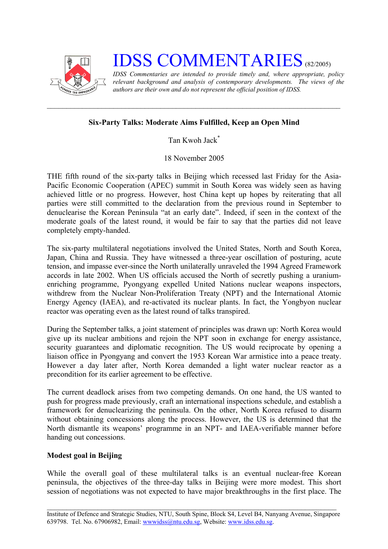

**IDSS COMMENTARIES** (82/2005)

*IDSS Commentaries are intended to provide timely and, where appropriate, policy relevant background and analysis of contemporary developments. The views of the authors are their own and do not represent the official position of IDSS.* 

## **Six-Party Talks: Moderate Aims Fulfilled, Keep an Open Mind**

Tan Kwoh Jac[k\\*](#page-2-0)

18 November 2005

THE fifth round of the six-party talks in Beijing which recessed last Friday for the Asia-Pacific Economic Cooperation (APEC) summit in South Korea was widely seen as having achieved little or no progress. However, host China kept up hopes by reiterating that all parties were still committed to the declaration from the previous round in September to denuclearise the Korean Peninsula "at an early date". Indeed, if seen in the context of the moderate goals of the latest round, it would be fair to say that the parties did not leave completely empty-handed.

The six-party multilateral negotiations involved the United States, North and South Korea, Japan, China and Russia. They have witnessed a three-year oscillation of posturing, acute tension, and impasse ever-since the North unilaterally unraveled the 1994 Agreed Framework accords in late 2002. When US officials accused the North of secretly pushing a uraniumenriching programme, Pyongyang expelled United Nations nuclear weapons inspectors, withdrew from the Nuclear Non-Proliferation Treaty (NPT) and the International Atomic Energy Agency (IAEA), and re-activated its nuclear plants. In fact, the Yongbyon nuclear reactor was operating even as the latest round of talks transpired.

During the September talks, a joint statement of principles was drawn up: North Korea would give up its nuclear ambitions and rejoin the NPT soon in exchange for energy assistance, security guarantees and diplomatic recognition. The US would reciprocate by opening a liaison office in Pyongyang and convert the 1953 Korean War armistice into a peace treaty. However a day later after, North Korea demanded a light water nuclear reactor as a precondition for its earlier agreement to be effective.

The current deadlock arises from two competing demands. On one hand, the US wanted to push for progress made previously, craft an international inspections schedule, and establish a framework for denuclearizing the peninsula. On the other, North Korea refused to disarm without obtaining concessions along the process. However, the US is determined that the North dismantle its weapons' programme in an NPT- and IAEA-verifiable manner before handing out concessions.

## **Modest goal in Beijing**

While the overall goal of these multilateral talks is an eventual nuclear-free Korean peninsula, the objectives of the three-day talks in Beijing were more modest. This short session of negotiations was not expected to have major breakthroughs in the first place. The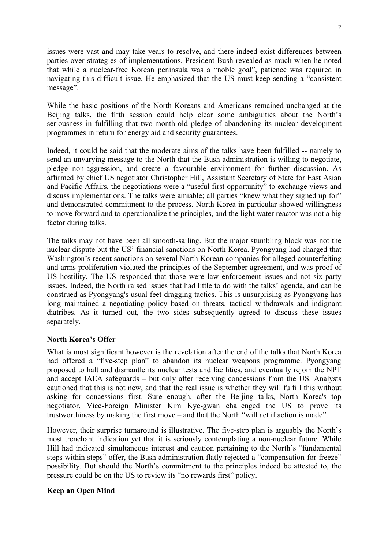issues were vast and may take years to resolve, and there indeed exist differences between parties over strategies of implementations. President Bush revealed as much when he noted that while a nuclear-free Korean peninsula was a "noble goal", patience was required in navigating this difficult issue. He emphasized that the US must keep sending a "consistent message".

While the basic positions of the North Koreans and Americans remained unchanged at the Beijing talks, the fifth session could help clear some ambiguities about the North's seriousness in fulfilling that two-month-old pledge of abandoning its nuclear development programmes in return for energy aid and security guarantees.

Indeed, it could be said that the moderate aims of the talks have been fulfilled -- namely to send an unvarying message to the North that the Bush administration is willing to negotiate, pledge non-aggression, and create a favourable environment for further discussion. As affirmed by chief US negotiator Christopher Hill, Assistant Secretary of State for East Asian and Pacific Affairs, the negotiations were a "useful first opportunity" to exchange views and discuss implementations. The talks were amiable; all parties "knew what they signed up for" and demonstrated commitment to the process. North Korea in particular showed willingness to move forward and to operationalize the principles, and the light water reactor was not a big factor during talks.

The talks may not have been all smooth-sailing. But the major stumbling block was not the nuclear dispute but the US' financial sanctions on North Korea. Pyongyang had charged that Washington's recent sanctions on several North Korean companies for alleged counterfeiting and arms proliferation violated the principles of the September agreement, and was proof of US hostility. The US responded that those were law enforcement issues and not six-party issues. Indeed, the North raised issues that had little to do with the talks' agenda, and can be construed as Pyongyang's usual feet-dragging tactics. This is unsurprising as Pyongyang has long maintained a negotiating policy based on threats, tactical withdrawals and indignant diatribes. As it turned out, the two sides subsequently agreed to discuss these issues separately.

## **North Korea's Offer**

What is most significant however is the revelation after the end of the talks that North Korea had offered a "five-step plan" to abandon its nuclear weapons programme. Pyongyang proposed to halt and dismantle its nuclear tests and facilities, and eventually rejoin the NPT and accept IAEA safeguards – but only after receiving concessions from the US. Analysts cautioned that this is not new, and that the real issue is whether they will fulfill this without asking for concessions first. Sure enough, after the Beijing talks, North Korea's top negotiator, Vice-Foreign Minister Kim Kye-gwan challenged the US to prove its trustworthiness by making the first move – and that the North "will act if action is made".

However, their surprise turnaround is illustrative. The five-step plan is arguably the North's most trenchant indication yet that it is seriously contemplating a non-nuclear future. While Hill had indicated simultaneous interest and caution pertaining to the North's "fundamental steps within steps" offer, the Bush administration flatly rejected a "compensation-for-freeze" possibility. But should the North's commitment to the principles indeed be attested to, the pressure could be on the US to review its "no rewards first" policy.

## **Keep an Open Mind**